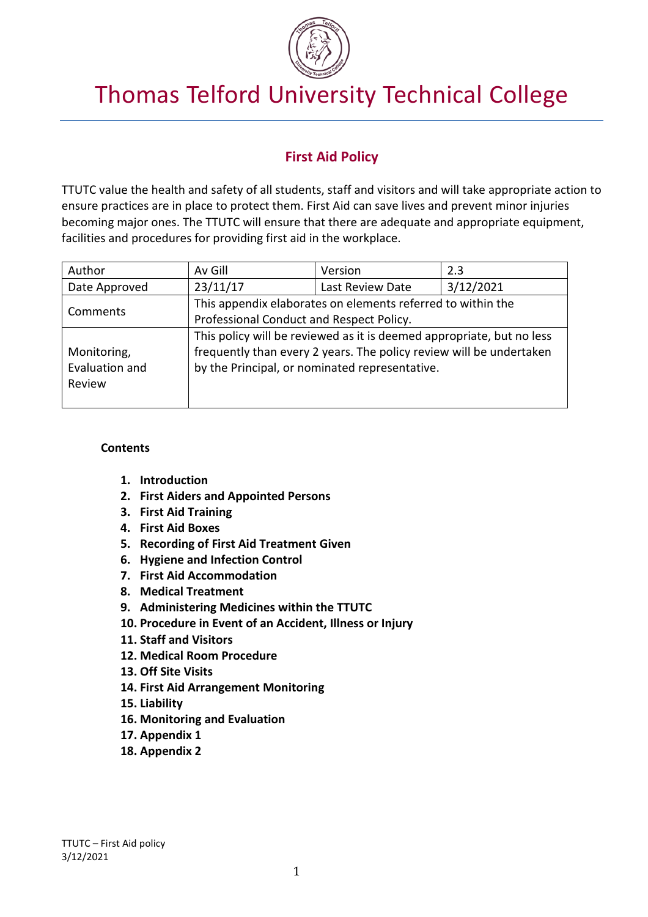

# Thomas Telford University Technical College

# **First Aid Policy**

TTUTC value the health and safety of all students, staff and visitors and will take appropriate action to ensure practices are in place to protect them. First Aid can save lives and prevent minor injuries becoming major ones. The TTUTC will ensure that there are adequate and appropriate equipment, facilities and procedures for providing first aid in the workplace.

| Author         | Av Gill                                                               | Version          | 2.3       |
|----------------|-----------------------------------------------------------------------|------------------|-----------|
| Date Approved  | 23/11/17                                                              | Last Review Date | 3/12/2021 |
| Comments       | This appendix elaborates on elements referred to within the           |                  |           |
|                | Professional Conduct and Respect Policy.                              |                  |           |
|                | This policy will be reviewed as it is deemed appropriate, but no less |                  |           |
| Monitoring,    | frequently than every 2 years. The policy review will be undertaken   |                  |           |
| Evaluation and | by the Principal, or nominated representative.                        |                  |           |
| Review         |                                                                       |                  |           |
|                |                                                                       |                  |           |

#### **Contents**

- **1. Introduction**
- **2. First Aiders and Appointed Persons**
- **3. First Aid Training**
- **4. First Aid Boxes**
- **5. Recording of First Aid Treatment Given**
- **6. Hygiene and Infection Control**
- **7. First Aid Accommodation**
- **8. Medical Treatment**
- **9. Administering Medicines within the TTUTC**
- **10. Procedure in Event of an Accident, Illness or Injury**
- **11. Staff and Visitors**
- **12. Medical Room Procedure**
- **13. Off Site Visits**
- **14. First Aid Arrangement Monitoring**
- **15. Liability**
- **16. Monitoring and Evaluation**
- **17. Appendix 1**
- **18. Appendix 2**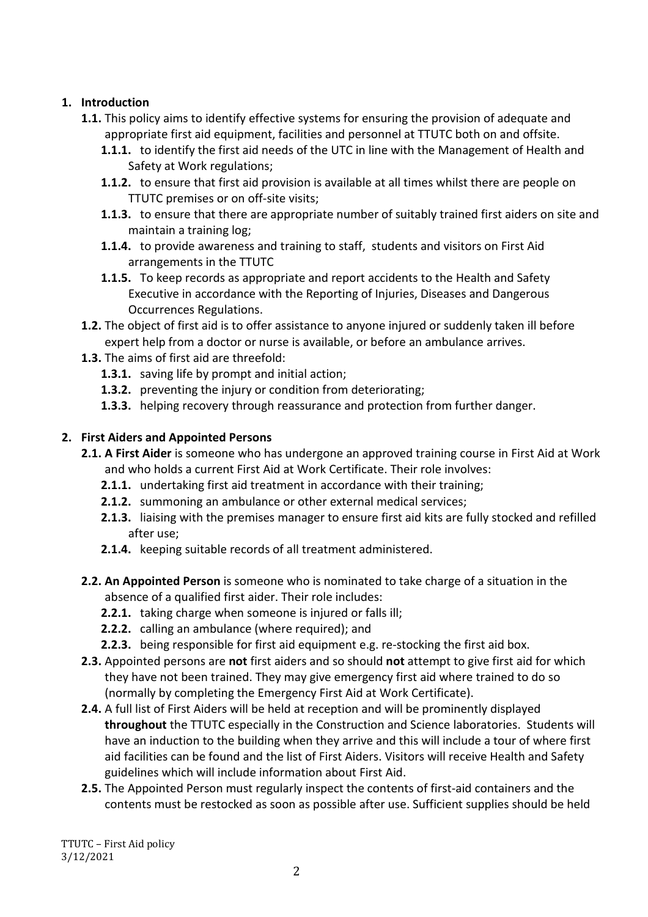## **1. Introduction**

- **1.1.** This policy aims to identify effective systems for ensuring the provision of adequate and appropriate first aid equipment, facilities and personnel at TTUTC both on and offsite.
	- **1.1.1.** to identify the first aid needs of the UTC in line with the Management of Health and Safety at Work regulations;
	- **1.1.2.** to ensure that first aid provision is available at all times whilst there are people on TTUTC premises or on off-site visits;
	- **1.1.3.** to ensure that there are appropriate number of suitably trained first aiders on site and maintain a training log;
	- **1.1.4.** to provide awareness and training to staff, students and visitors on First Aid arrangements in the TTUTC
	- **1.1.5.** To keep records as appropriate and report accidents to the Health and Safety Executive in accordance with the Reporting of Injuries, Diseases and Dangerous Occurrences Regulations.
- **1.2.** The object of first aid is to offer assistance to anyone injured or suddenly taken ill before expert help from a doctor or nurse is available, or before an ambulance arrives.
- **1.3.** The aims of first aid are threefold:
	- **1.3.1.** saving life by prompt and initial action;
	- **1.3.2.** preventing the injury or condition from deteriorating;
	- **1.3.3.** helping recovery through reassurance and protection from further danger.

# **2. First Aiders and Appointed Persons**

- **2.1. A First Aider** is someone who has undergone an approved training course in First Aid at Work and who holds a current First Aid at Work Certificate. Their role involves:
	- **2.1.1.** undertaking first aid treatment in accordance with their training;
	- **2.1.2.** summoning an ambulance or other external medical services;
	- **2.1.3.** liaising with the premises manager to ensure first aid kits are fully stocked and refilled after use;
	- **2.1.4.** keeping suitable records of all treatment administered.
- **2.2. An Appointed Person** is someone who is nominated to take charge of a situation in the absence of a qualified first aider. Their role includes:
	- **2.2.1.** taking charge when someone is injured or falls ill;
	- **2.2.2.** calling an ambulance (where required); and
	- **2.2.3.** being responsible for first aid equipment e.g. re-stocking the first aid box.
- **2.3.** Appointed persons are **not** first aiders and so should **not** attempt to give first aid for which they have not been trained. They may give emergency first aid where trained to do so (normally by completing the Emergency First Aid at Work Certificate).
- **2.4.** A full list of First Aiders will be held at reception and will be prominently displayed **throughout** the TTUTC especially in the Construction and Science laboratories. Students will have an induction to the building when they arrive and this will include a tour of where first aid facilities can be found and the list of First Aiders. Visitors will receive Health and Safety guidelines which will include information about First Aid.
- **2.5.** The Appointed Person must regularly inspect the contents of first-aid containers and the contents must be restocked as soon as possible after use. Sufficient supplies should be held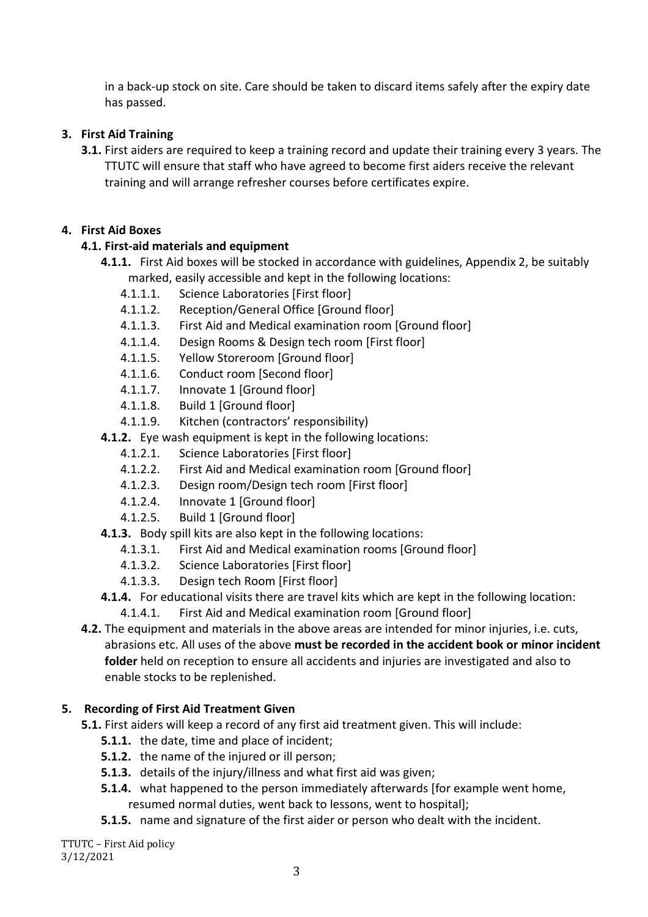in a back-up stock on site. Care should be taken to discard items safely after the expiry date has passed.

## **3. First Aid Training**

**3.1.** First aiders are required to keep a training record and update their training every 3 years. The TTUTC will ensure that staff who have agreed to become first aiders receive the relevant training and will arrange refresher courses before certificates expire.

## **4. First Aid Boxes**

# **4.1. First-aid materials and equipment**

- **4.1.1.** First Aid boxes will be stocked in accordance with guidelines, Appendix 2, be suitably marked, easily accessible and kept in the following locations:
	- 4.1.1.1. Science Laboratories [First floor]
	- 4.1.1.2. Reception/General Office [Ground floor]
	- 4.1.1.3. First Aid and Medical examination room [Ground floor]
	- 4.1.1.4. Design Rooms & Design tech room [First floor]
	- 4.1.1.5. Yellow Storeroom [Ground floor]
	- 4.1.1.6. Conduct room [Second floor]
	- 4.1.1.7. Innovate 1 [Ground floor]
	- 4.1.1.8. Build 1 [Ground floor]
	- 4.1.1.9. Kitchen (contractors' responsibility)
- **4.1.2.** Eye wash equipment is kept in the following locations:
	- 4.1.2.1. Science Laboratories [First floor]
	- 4.1.2.2. First Aid and Medical examination room [Ground floor]
	- 4.1.2.3. Design room/Design tech room [First floor]
	- 4.1.2.4. Innovate 1 [Ground floor]
	- 4.1.2.5. Build 1 [Ground floor]
- **4.1.3.** Body spill kits are also kept in the following locations:
	- 4.1.3.1. First Aid and Medical examination rooms [Ground floor]
	- 4.1.3.2. Science Laboratories [First floor]
	- 4.1.3.3. Design tech Room [First floor]
- **4.1.4.** For educational visits there are travel kits which are kept in the following location:
	- 4.1.4.1. First Aid and Medical examination room [Ground floor]

**4.2.** The equipment and materials in the above areas are intended for minor injuries, i.e. cuts, abrasions etc. All uses of the above **must be recorded in the accident book or minor incident folder** held on reception to ensure all accidents and injuries are investigated and also to enable stocks to be replenished.

## **5. Recording of First Aid Treatment Given**

- **5.1.** First aiders will keep a record of any first aid treatment given. This will include:
	- **5.1.1.** the date, time and place of incident;
	- **5.1.2.** the name of the injured or ill person;
	- **5.1.3.** details of the injury/illness and what first aid was given;
	- **5.1.4.** what happened to the person immediately afterwards [for example went home, resumed normal duties, went back to lessons, went to hospital];
	- **5.1.5.** name and signature of the first aider or person who dealt with the incident.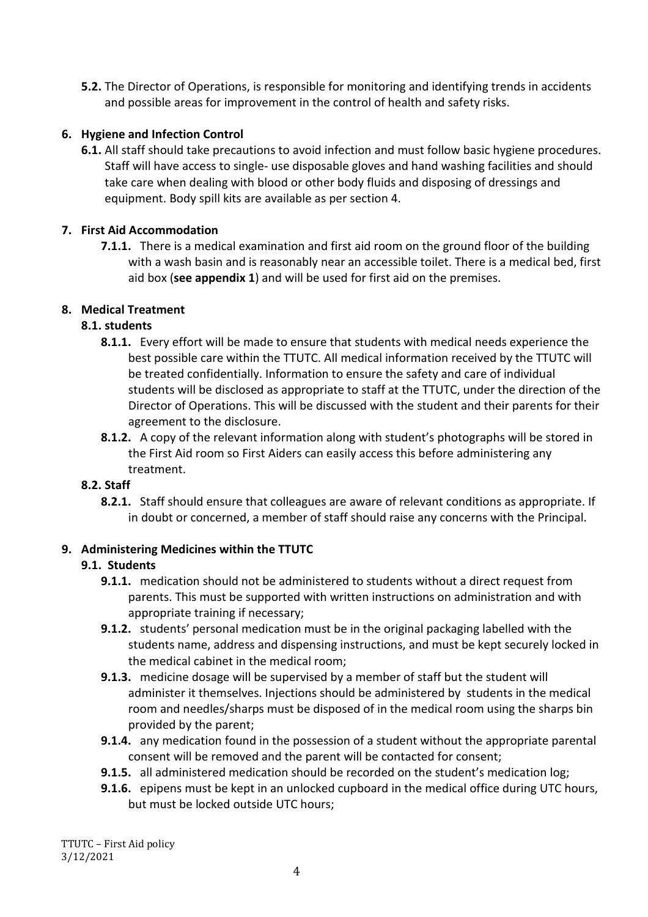**5.2.** The Director of Operations, is responsible for monitoring and identifying trends in accidents and possible areas for improvement in the control of health and safety risks.

## **6. Hygiene and Infection Control**

**6.1.** All staff should take precautions to avoid infection and must follow basic hygiene procedures. Staff will have access to single- use disposable gloves and hand washing facilities and should take care when dealing with blood or other body fluids and disposing of dressings and equipment. Body spill kits are available as per section 4.

## **7. First Aid Accommodation**

**7.1.1.** There is a medical examination and first aid room on the ground floor of the building with a wash basin and is reasonably near an accessible toilet. There is a medical bed, first aid box (**see appendix 1**) and will be used for first aid on the premises.

# **8. Medical Treatment**

# **8.1. students**

- **8.1.1.** Every effort will be made to ensure that students with medical needs experience the best possible care within the TTUTC. All medical information received by the TTUTC will be treated confidentially. Information to ensure the safety and care of individual students will be disclosed as appropriate to staff at the TTUTC, under the direction of the Director of Operations. This will be discussed with the student and their parents for their agreement to the disclosure.
- **8.1.2.** A copy of the relevant information along with student's photographs will be stored in the First Aid room so First Aiders can easily access this before administering any treatment.

## **8.2. Staff**

**8.2.1.** Staff should ensure that colleagues are aware of relevant conditions as appropriate. If in doubt or concerned, a member of staff should raise any concerns with the Principal.

## **9. Administering Medicines within the TTUTC**

## **9.1. Students**

- **9.1.1.** medication should not be administered to students without a direct request from parents. This must be supported with written instructions on administration and with appropriate training if necessary;
- **9.1.2.** students' personal medication must be in the original packaging labelled with the students name, address and dispensing instructions, and must be kept securely locked in the medical cabinet in the medical room;
- **9.1.3.** medicine dosage will be supervised by a member of staff but the student will administer it themselves. Injections should be administered by students in the medical room and needles/sharps must be disposed of in the medical room using the sharps bin provided by the parent;
- **9.1.4.** any medication found in the possession of a student without the appropriate parental consent will be removed and the parent will be contacted for consent;
- **9.1.5.** all administered medication should be recorded on the student's medication log;
- **9.1.6.** epipens must be kept in an unlocked cupboard in the medical office during UTC hours, but must be locked outside UTC hours;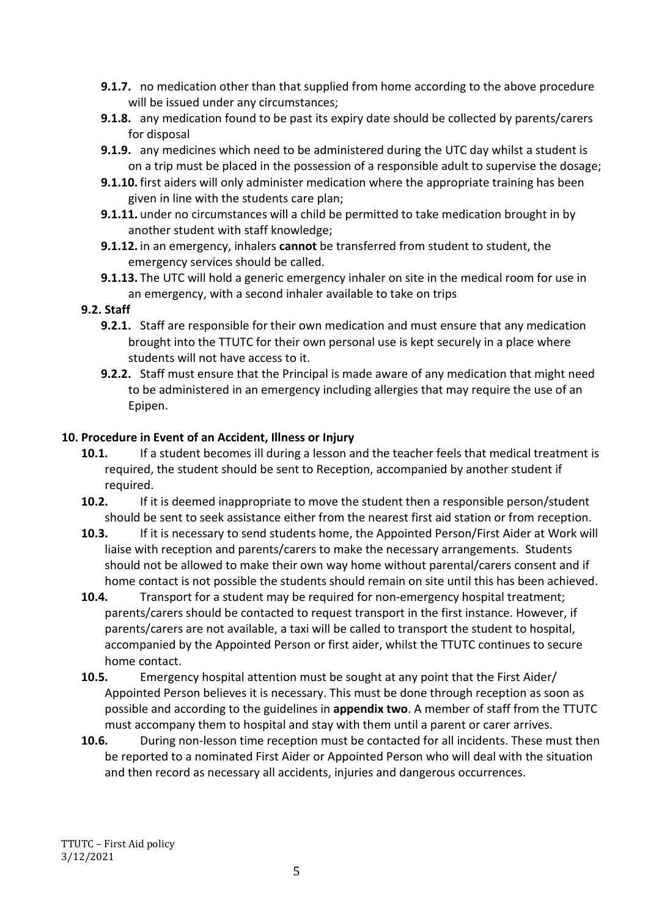- **9.1.7.** no medication other than that supplied from home according to the above procedure will be issued under any circumstances;
- **9.1.8.** any medication found to be past its expiry date should be collected by parents/carers for disposal
- **9.1.9.** any medicines which need to be administered during the UTC day whilst a student is on a trip must be placed in the possession of a responsible adult to supervise the dosage;
- **9.1.10.** first aiders will only administer medication where the appropriate training has been given in line with the students care plan;
- **9.1.11.** under no circumstances will a child be permitted to take medication brought in by another student with staff knowledge;
- **9.1.12.** in an emergency, inhalers **cannot** be transferred from student to student, the emergency services should be called.
- **9.1.13.** The UTC will hold a generic emergency inhaler on site in the medical room for use in an emergency, with a second inhaler available to take on trips

#### **9.2. Staff**

- **9.2.1.** Staff are responsible for their own medication and must ensure that any medication brought into the TTUTC for their own personal use is kept securely in a place where students will not have access to it.
- **9.2.2.** Staff must ensure that the Principal is made aware of any medication that might need to be administered in an emergency including allergies that may require the use of an Epipen.

#### **10. Procedure in Event of an Accident, Illness or Injury**

- **10.1.** If a student becomes ill during a lesson and the teacher feels that medical treatment is required, the student should be sent to Reception, accompanied by another student if required.
- **10.2.** If it is deemed inappropriate to move the student then a responsible person/student should be sent to seek assistance either from the nearest first aid station or from reception.
- **10.3.** If it is necessary to send students home, the Appointed Person/First Aider at Work will liaise with reception and parents/carers to make the necessary arrangements. Students should not be allowed to make their own way home without parental/carers consent and if home contact is not possible the students should remain on site until this has been achieved.
- **10.4.** Transport for a student may be required for non-emergency hospital treatment; parents/carers should be contacted to request transport in the first instance. However, if parents/carers are not available, a taxi will be called to transport the student to hospital, accompanied by the Appointed Person or first aider, whilst the TTUTC continues to secure home contact.
- **10.5.** Emergency hospital attention must be sought at any point that the First Aider/ Appointed Person believes it is necessary. This must be done through reception as soon as possible and according to the guidelines in **appendix two**. A member of staff from the TTUTC must accompany them to hospital and stay with them until a parent or carer arrives.
- **10.6.** During non-lesson time reception must be contacted for all incidents. These must then be reported to a nominated First Aider or Appointed Person who will deal with the situation and then record as necessary all accidents, injuries and dangerous occurrences.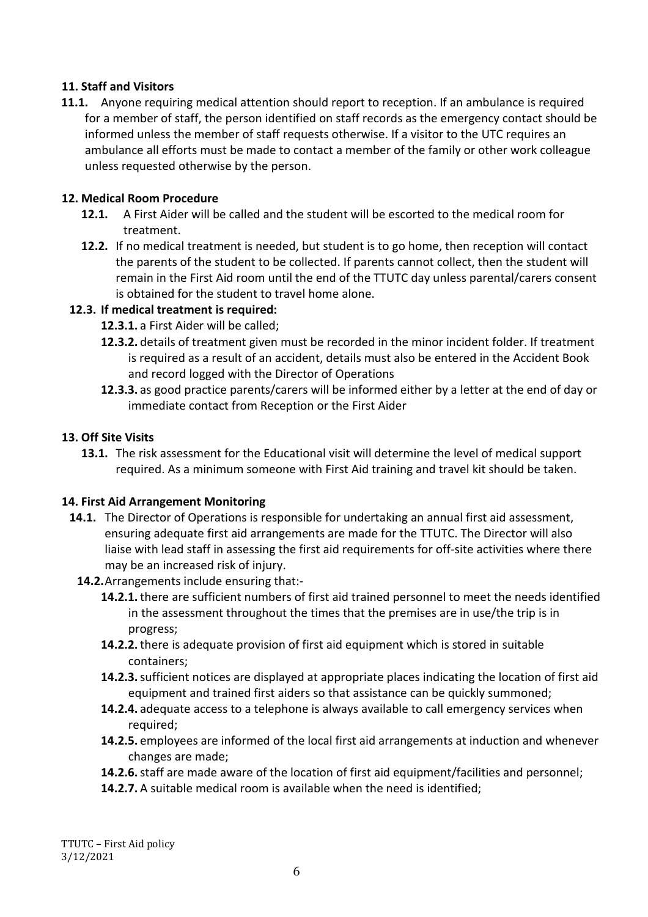#### **11. Staff and Visitors**

**11.1.** Anyone requiring medical attention should report to reception. If an ambulance is required for a member of staff, the person identified on staff records as the emergency contact should be informed unless the member of staff requests otherwise. If a visitor to the UTC requires an ambulance all efforts must be made to contact a member of the family or other work colleague unless requested otherwise by the person.

#### **12. Medical Room Procedure**

- **12.1.** A First Aider will be called and the student will be escorted to the medical room for treatment.
- **12.2.** If no medical treatment is needed, but student is to go home, then reception will contact the parents of the student to be collected. If parents cannot collect, then the student will remain in the First Aid room until the end of the TTUTC day unless parental/carers consent is obtained for the student to travel home alone.

#### **12.3. If medical treatment is required:**

- **12.3.1.** a First Aider will be called;
- **12.3.2.** details of treatment given must be recorded in the minor incident folder. If treatment is required as a result of an accident, details must also be entered in the Accident Book and record logged with the Director of Operations
- **12.3.3.** as good practice parents/carers will be informed either by a letter at the end of day or immediate contact from Reception or the First Aider

#### **13. Off Site Visits**

**13.1.** The risk assessment for the Educational visit will determine the level of medical support required. As a minimum someone with First Aid training and travel kit should be taken.

#### **14. First Aid Arrangement Monitoring**

- **14.1.** The Director of Operations is responsible for undertaking an annual first aid assessment, ensuring adequate first aid arrangements are made for the TTUTC. The Director will also liaise with lead staff in assessing the first aid requirements for off-site activities where there may be an increased risk of injury.
	- **14.2.**Arrangements include ensuring that:-
		- **14.2.1.**there are sufficient numbers of first aid trained personnel to meet the needs identified in the assessment throughout the times that the premises are in use/the trip is in progress;
		- **14.2.2.**there is adequate provision of first aid equipment which is stored in suitable containers;
		- **14.2.3.**sufficient notices are displayed at appropriate places indicating the location of first aid equipment and trained first aiders so that assistance can be quickly summoned;
		- **14.2.4.** adequate access to a telephone is always available to call emergency services when required;
		- **14.2.5.** employees are informed of the local first aid arrangements at induction and whenever changes are made;
		- **14.2.6.**staff are made aware of the location of first aid equipment/facilities and personnel;
		- **14.2.7.** A suitable medical room is available when the need is identified;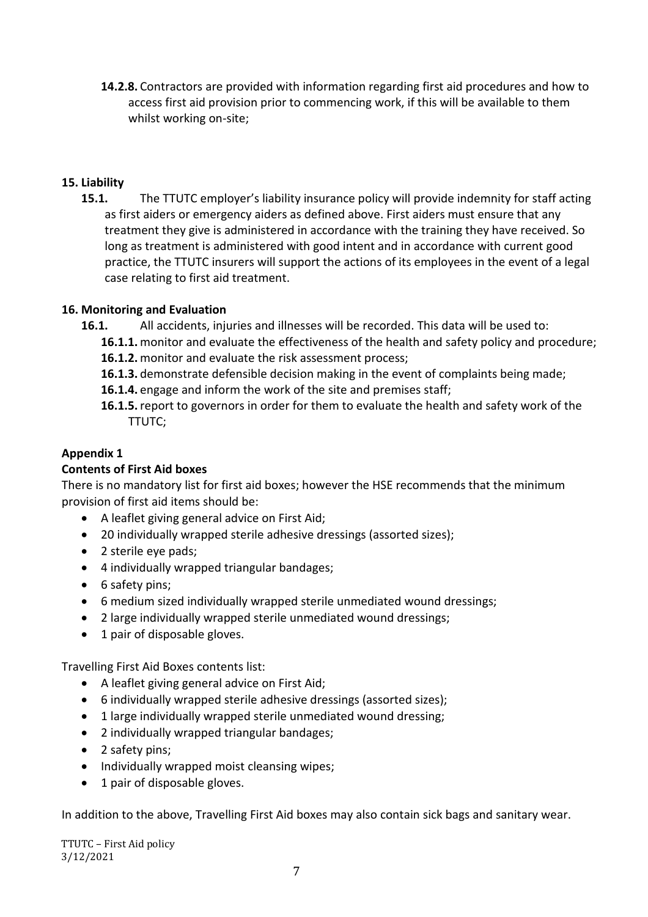**14.2.8.** Contractors are provided with information regarding first aid procedures and how to access first aid provision prior to commencing work, if this will be available to them whilst working on-site;

#### **15. Liability**

**15.1.** The TTUTC employer's liability insurance policy will provide indemnity for staff acting as first aiders or emergency aiders as defined above. First aiders must ensure that any treatment they give is administered in accordance with the training they have received. So long as treatment is administered with good intent and in accordance with current good practice, the TTUTC insurers will support the actions of its employees in the event of a legal case relating to first aid treatment.

#### **16. Monitoring and Evaluation**

- **16.1.** All accidents, injuries and illnesses will be recorded. This data will be used to:
	- **16.1.1.** monitor and evaluate the effectiveness of the health and safety policy and procedure;
	- **16.1.2.** monitor and evaluate the risk assessment process;
	- **16.1.3.** demonstrate defensible decision making in the event of complaints being made;
	- **16.1.4.** engage and inform the work of the site and premises staff;
	- **16.1.5.**report to governors in order for them to evaluate the health and safety work of the TTUTC;

#### **Appendix 1**

#### **Contents of First Aid boxes**

There is no mandatory list for first aid boxes; however the HSE recommends that the minimum provision of first aid items should be:

- A leaflet giving general advice on First Aid;
- 20 individually wrapped sterile adhesive dressings (assorted sizes);
- 2 sterile eye pads;
- 4 individually wrapped triangular bandages;
- 6 safety pins;
- 6 medium sized individually wrapped sterile unmediated wound dressings;
- 2 large individually wrapped sterile unmediated wound dressings;
- 1 pair of disposable gloves.

Travelling First Aid Boxes contents list:

- A leaflet giving general advice on First Aid;
- 6 individually wrapped sterile adhesive dressings (assorted sizes);
- 1 large individually wrapped sterile unmediated wound dressing;
- 2 individually wrapped triangular bandages;
- 2 safety pins;
- Individually wrapped moist cleansing wipes;
- 1 pair of disposable gloves.

In addition to the above, Travelling First Aid boxes may also contain sick bags and sanitary wear.